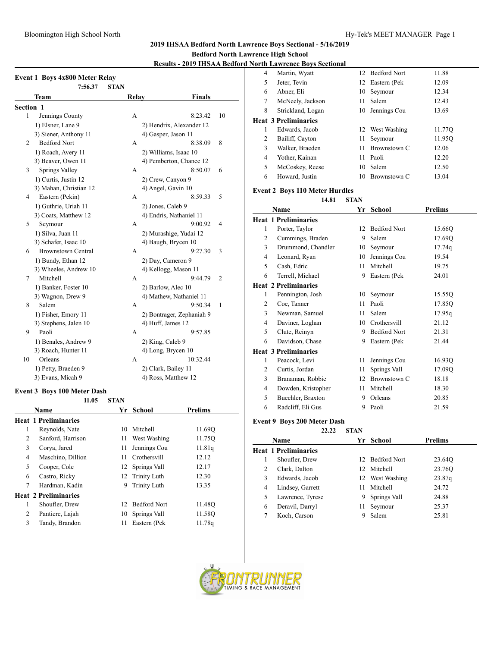# **2019 IHSAA Bedford North Lawrence Boys Sectional - 5/16/2019**

## **Bedford North Lawrence High School**

## **Results - 2019 IHSAA Bedford No**

|           | <b>Event 1 Boys 4x800 Meter Relay</b><br>7:56.37 | <b>STAN</b> |               |                           |    |
|-----------|--------------------------------------------------|-------------|---------------|---------------------------|----|
|           | Team                                             |             | Relay         | <b>Finals</b>             |    |
| Section 1 |                                                  |             |               |                           |    |
| 1         | Jennings County                                  |             | A             | 8:23.42                   | 10 |
|           | 1) Elsner, Lane 9                                |             |               | 2) Hendrix, Alexander 12  |    |
|           | 3) Siener, Anthony 11                            |             |               | 4) Gasper, Jason 11       |    |
| 2         | <b>Bedford Nort</b>                              |             | A             | 8:38.09                   | 8  |
|           | 1) Roach, Avery 11                               |             |               | 2) Williams, Isaac 10     |    |
|           | 3) Beaver, Owen 11                               |             |               | 4) Pemberton, Chance 12   |    |
| 3         | Springs Valley                                   |             | A             | 8:50.07                   | 6  |
|           | 1) Curtis, Justin 12                             |             |               | 2) Crew, Canyon 9         |    |
|           | 3) Mahan, Christian 12                           |             |               | 4) Angel, Gavin 10        |    |
| 4         | Eastern (Pekin)                                  |             | A             | 8:59.33                   | 5  |
|           | 1) Guthrie, Uriah 11                             |             |               | 2) Jones, Caleb 9         |    |
|           | 3) Coats, Matthew 12                             |             |               | 4) Endris, Nathaniel 11   |    |
| 5         | Seymour                                          |             | A             | 9:00.92                   | 4  |
|           | 1) Silva, Juan 11                                |             |               | 2) Murashige, Yudai 12    |    |
|           | 3) Schafer, Isaac 10                             |             |               | 4) Baugh, Brycen 10       |    |
| 6         | <b>Brownstown Central</b>                        |             | A             | 9:27.30                   | 3  |
|           | 1) Bundy, Ethan 12                               |             |               | 2) Day, Cameron 9         |    |
|           | 3) Wheeles, Andrew 10                            |             |               | 4) Kellogg, Mason 11      |    |
| 7         | Mitchell                                         |             | A             | 9:44.79                   | 2  |
|           | 1) Banker, Foster 10                             |             |               | 2) Barlow, Alec 10        |    |
|           | 3) Wagnon, Drew 9                                |             |               | 4) Mathew, Nathaniel 11   |    |
| 8         | Salem                                            |             | A             | 9:50.34                   | 1  |
|           | 1) Fisher, Emory 11                              |             |               | 2) Bontrager, Zephaniah 9 |    |
|           | 3) Stephens, Jalen 10                            |             |               | 4) Huff, James 12         |    |
| 9         | Paoli                                            |             | A             | 9:57.85                   |    |
|           | 1) Benales, Andrew 9                             |             |               | 2) King, Caleb 9          |    |
|           | 3) Roach, Hunter 11                              |             |               | 4) Long, Brycen 10        |    |
| 10        | Orleans                                          |             | A             | 10:32.44                  |    |
|           | 1) Petty, Braeden 9                              |             |               | 2) Clark, Bailey 11       |    |
|           | 3) Evans, Micah 9                                |             |               | 4) Ross, Matthew 12       |    |
|           | <b>Event 3 Boys 100 Meter Dash</b>               |             |               |                           |    |
|           | 11.05                                            | <b>STAN</b> |               |                           |    |
|           | Name                                             | Yr          | <b>School</b> | Prelims                   |    |

|   | Heat I Preliminaries        |     |                     |        |
|---|-----------------------------|-----|---------------------|--------|
| 1 | Reynolds, Nate              | 10  | Mitchell            | 11.690 |
| 2 | Sanford, Harrison           | 11  | West Washing        | 11.75Q |
| 3 | Corya, Jared                | 11  | Jennings Cou        | 11.81q |
| 4 | Maschino, Dillion           | 11. | Crothersvill        | 12.12  |
| 5 | Cooper, Cole                |     | 12 Springs Vall     | 12.17  |
| 6 | Castro, Ricky               |     | 12 Trinity Luth     | 12.30  |
| 7 | Hardman, Kadin              | 9   | <b>Trinity Luth</b> | 13.35  |
|   | <b>Heat 2 Preliminaries</b> |     |                     |        |
| 1 | Shoufler, Drew              | 12. | <b>Bedford Nort</b> | 11.48Q |
| 2 | Pantiere, Lajah             | 10  | Springs Vall        | 11.58O |
| 3 | Tandy, Brandon              | 11  | Eastern (Pek        | 11.78q |
|   |                             |     |                     |        |

| <b>Jorth Lawrence Bovs Sectional</b> |                             |              |                                                                           |
|--------------------------------------|-----------------------------|--------------|---------------------------------------------------------------------------|
| Martin, Wyatt                        | 12.                         |              | 11.88                                                                     |
| Jeter, Tevin                         | 12                          |              | 12.09                                                                     |
| Abner, Eli                           | 10                          | Seymour      | 12.34                                                                     |
| McNeely, Jackson                     | 11                          | Salem        | 12.43                                                                     |
| Strickland, Logan                    |                             |              | 13.69                                                                     |
|                                      |                             |              |                                                                           |
| Edwards, Jacob                       |                             |              | 11.77Q                                                                    |
| Bailiff, Cayton                      | 11                          | Seymour      | 11.950                                                                    |
| Walker, Braeden                      | 11                          | Brownstown C | 12.06                                                                     |
| Yother, Kainan                       | 11                          | Paoli        | 12.20                                                                     |
| McCoskey, Reese                      | 10                          | Salem        | 12.50                                                                     |
| Howard, Justin                       | 10                          | Brownstown C | 13.04                                                                     |
|                                      | <b>Heat 3 Preliminaries</b> |              | <b>Bedford Nort</b><br>Eastern (Pek<br>10 Jennings Cou<br>12 West Washing |

#### **Event 2 Boys 110 Meter Hurdles**

# **14.81 STAN**

|   | Name                        | Yr | <b>School</b>       | <b>Prelims</b> |  |
|---|-----------------------------|----|---------------------|----------------|--|
|   | <b>Heat 1 Preliminaries</b> |    |                     |                |  |
| 1 | Porter, Taylor              | 12 | <b>Bedford Nort</b> | 15.66Q         |  |
| 2 | Cummings, Braden            | 9  | Salem               | 17.69Q         |  |
| 3 | Drummond, Chandler          | 10 | Seymour             | 17.74q         |  |
| 4 | Leonard, Ryan               | 10 | Jennings Cou        | 19.54          |  |
| 5 | Cash, Edric                 | 11 | Mitchell            | 19.75          |  |
| 6 | Terrell, Michael            | 9  | Eastern (Pek        | 24.01          |  |
|   | <b>Heat 2 Preliminaries</b> |    |                     |                |  |
| 1 | Pennington, Josh            | 10 | Seymour             | 15.55Q         |  |
| 2 | Coe, Tanner                 | 11 | Paoli               | 17.85Q         |  |
| 3 | Newman, Samuel              | 11 | Salem               | 17.95q         |  |
| 4 | Daviner, Loghan             | 10 | Crothersvill        | 21.12          |  |
| 5 | Clute, Reinyn               | 9  | <b>Bedford Nort</b> | 21.31          |  |
| 6 | Davidson, Chase             | 9  | Eastern (Pek        | 21.44          |  |
|   | <b>Heat 3 Preliminaries</b> |    |                     |                |  |
| 1 | Peacock, Levi               | 11 | Jennings Cou        | 16.93Q         |  |
| 2 | Curtis, Jordan              | 11 | Springs Vall        | 17.09Q         |  |
| 3 | Branaman, Robbie            | 12 | Brownstown C        | 18.18          |  |
| 4 | Dowden, Kristopher          | 11 | Mitchell            | 18.30          |  |
| 5 | Buechler, Braxton           | 9  | Orleans             | 20.85          |  |
| 6 | Radcliff, Eli Gus           | 9  | Paoli               | 21.59          |  |
|   |                             |    |                     |                |  |

## **Event 9 Boys 200 Meter Dash**

# **22.22 STAN**

|   | Name                        |    | Yr School       | <b>Prelims</b> |  |
|---|-----------------------------|----|-----------------|----------------|--|
|   | <b>Heat 1 Preliminaries</b> |    |                 |                |  |
|   | Shoufler, Drew              |    | 12 Bedford Nort | 23.64Q         |  |
| 2 | Clark, Dalton               |    | 12 Mitchell     | 23.76O         |  |
| 3 | Edwards, Jacob              |    | 12 West Washing | 23.87q         |  |
| 4 | Lindsey, Garrett            | 11 | Mitchell        | 24.72          |  |
| 5 | Lawrence, Tyrese            | 9  | Springs Vall    | 24.88          |  |
| 6 | Deravil, Darryl             | 11 | Seymour         | 25.37          |  |
|   | Koch, Carson                | 9  | Salem           | 25.81          |  |



 $\overline{\phantom{a}}$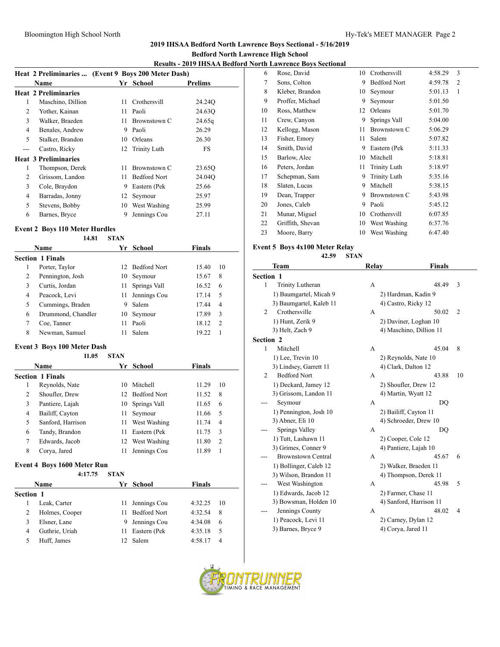#### Bloomington High School North **Hy-Tek's MEET MANAGER** Page 2

## **2019 IHSAA Bedford North Lawrence Boys Sectional - 5/16/2019**

### **Bedford North Lawrence High School**

# **Results - 2019 IHSAA Bedford North Lawrence Boys Sectional**

|   |                             | Heat 2 Preliminaries  (Event 9 Boys 200 Meter Dash) |                     |         |  |
|---|-----------------------------|-----------------------------------------------------|---------------------|---------|--|
|   | <b>Name</b>                 |                                                     | Yr School           | Prelims |  |
|   | <b>Heat 2 Preliminaries</b> |                                                     |                     |         |  |
| 1 | Maschino, Dillion           | 11                                                  | Crothersvill        | 24.24Q  |  |
| 2 | Yother, Kainan              | 11                                                  | Paoli               | 24.63Q  |  |
| 3 | Walker, Braeden             | 11                                                  | Brownstown C        | 24.65q  |  |
| 4 | Benales, Andrew             | 9                                                   | Paoli               | 26.29   |  |
| 5 | Stalker, Brandon            | 10                                                  | Orleans             | 26.30   |  |
|   | Castro, Ricky               |                                                     | 12 Trinity Luth     | FS      |  |
|   | <b>Heat 3 Preliminaries</b> |                                                     |                     |         |  |
| 1 | Thompson, Derek             | 11                                                  | Brownstown C        | 23.65Q  |  |
| 2 | Grissom, Landon             | 11                                                  | <b>Bedford Nort</b> | 24.04Q  |  |
| 3 | Cole, Braydon               | 9                                                   | Eastern (Pek        | 25.66   |  |
| 4 | Barradas, Jonny             | 12                                                  | Seymour             | 25.97   |  |
| 5 | Stevens, Bobby              | 10                                                  | West Washing        | 25.99   |  |
| 6 | Barnes, Bryce               | 9                                                   | Jennings Cou        | 27.11   |  |

#### **Event 2 Boys 110 Meter Hurdles**

### **14.81 STAN**

| <b>Name</b> |                         |     | Yr School       | Finals |                |
|-------------|-------------------------|-----|-----------------|--------|----------------|
|             | <b>Section 1 Finals</b> |     |                 |        |                |
| 1           | Porter, Taylor          | 12. | Bedford Nort    | 15.40  | 10             |
| 2           | Pennington, Josh        | 10  | Seymour         | 15.67  | 8              |
| 3           | Curtis, Jordan          | 11  | Springs Vall    | 16.52  | 6              |
| 4           | Peacock, Levi           |     | 11 Jennings Cou | 17.14  | 5              |
| 5           | Cummings, Braden        | 9   | Salem           | 17.44  | $\overline{4}$ |
| 6           | Drummond, Chandler      | 10  | Seymour         | 17.89  | 3              |
| 7           | Coe, Tanner             | 11  | Paoli           | 18.12  | $\mathcal{D}$  |
| 8           | Newman, Samuel          | 11  | Salem           | 19.22  |                |

#### **Event 3 Boys 100 Meter Dash**

#### **11.05 STAN**

|   | <b>Name</b>             |    | Yr School       | <b>Finals</b> |                |
|---|-------------------------|----|-----------------|---------------|----------------|
|   | <b>Section 1 Finals</b> |    |                 |               |                |
| 1 | Reynolds, Nate          | 10 | Mitchell        | 11.29         | 10             |
| 2 | Shoufler, Drew          |    | 12 Bedford Nort | 11.52         | 8              |
| 3 | Pantiere, Lajah         | 10 | Springs Vall    | 11.65         | 6              |
| 4 | Bailiff, Cayton         | 11 | Seymour         | 11.66         | -5             |
| 5 | Sanford, Harrison       | 11 | West Washing    | 11.74         | $\overline{4}$ |
| 6 | Tandy, Brandon          | 11 | Eastern (Pek    | 11.75         | 3              |
| 7 | Edwards, Jacob          | 12 | West Washing    | 11.80         | $\overline{2}$ |
| 8 | Corya, Jared            | 11 | Jennings Cou    | 11.89         |                |

#### **Event 4 Boys 1600 Meter Run**

|           | 4:17.75        | <b>STAN</b> |                     |               |    |
|-----------|----------------|-------------|---------------------|---------------|----|
|           | Name           |             | Yr School           | <b>Finals</b> |    |
| Section 1 |                |             |                     |               |    |
|           | Leak, Carter   | 11.         | Jennings Cou        | 4:32.25       | 10 |
|           | Holmes, Cooper |             | <b>Bedford Nort</b> | 4:32.54       | 8  |
|           | Elsner, Lane   | 9           | Jennings Cou        | 4:34.08       | 6  |
| 4         | Guthrie, Uriah | 11          | Eastern (Pek        | 4:35.18       | 5  |
|           | Huff. James    |             | Salem               | 4:58.17       | 4  |
|           |                |             |                     |               |    |

|    | л ні бамгенсе dovs decuonai |    |                     |         |                |
|----|-----------------------------|----|---------------------|---------|----------------|
| 6  | Rose, David                 | 10 | Crothersvill        | 4:58.29 | 3              |
| 7  | Sons, Colton                | 9  | <b>Bedford Nort</b> | 4:59.78 | $\overline{2}$ |
| 8  | Kleber, Brandon             | 10 | Seymour             | 5:01.13 | 1              |
| 9  | Proffer, Michael            | 9  | Seymour             | 5:01.50 |                |
| 10 | Ross, Matthew               | 12 | Orleans             | 5:01.70 |                |
| 11 | Crew, Canyon                | 9  | Springs Vall        | 5:04.00 |                |
| 12 | Kellogg, Mason              | 11 | Brownstown C        | 5:06.29 |                |
| 13 | Fisher, Emory               | 11 | Salem               | 5:07.82 |                |
| 14 | Smith, David                | 9  | Eastern (Pek        | 5:11.33 |                |
| 15 | Barlow, Alec                | 10 | Mitchell            | 5:18.81 |                |
| 16 | Peters, Jordan              | 11 | Trinity Luth        | 5:18.97 |                |
| 17 | Schepman, Sam               | 9  | Trinity Luth        | 5:35.16 |                |
| 18 | Slaten, Lucas               | 9  | Mitchell            | 5:38.15 |                |
| 19 | Dean, Trapper               | 9  | Brownstown C        | 5:43.98 |                |
| 20 | Jones, Caleb                | 9  | Paoli               | 5:45.12 |                |
| 21 | Munar, Miguel               | 10 | Crothersvill        | 6:07.85 |                |
| 22 | Griffith, Shevan            | 10 | West Washing        | 6:37.76 |                |
| 23 | Moore, Barry                | 10 | West Washing        | 6:47.40 |                |
|    |                             |    |                     |         |                |

## **Event 5 Boys 4x100 Meter Relay**

|           | 42.59                     | <b>STAN</b>    |                         |                |
|-----------|---------------------------|----------------|-------------------------|----------------|
|           | Team                      | Relay          | <b>Finals</b>           |                |
| Section 1 |                           |                |                         |                |
| 1         | Trinity Lutheran          | $\overline{A}$ | 48.49                   | 3              |
|           | 1) Baumgartel, Micah 9    |                | 2) Hardman, Kadin 9     |                |
|           | 3) Baumgartel, Kaleb 11   |                | 4) Castro, Ricky 12     |                |
| 2         | Crothersville             | А              | 50.02                   | $\overline{2}$ |
|           | 1) Hunt, Zerik 9          |                | 2) Daviner, Loghan 10   |                |
|           | 3) Helt, Zach 9           |                | 4) Maschino, Dillion 11 |                |
| Section 2 |                           |                |                         |                |
| 1         | Mitchell                  | A              | 45.04                   | 8              |
|           | 1) Lee, Trevin 10         |                | 2) Reynolds, Nate 10    |                |
|           | 3) Lindsey, Garrett 11    |                | 4) Clark, Dalton 12     |                |
| 2         | <b>Bedford Nort</b>       | А              | 43.88                   | 10             |
|           | 1) Deckard, Jamey 12      |                | 2) Shoufler, Drew 12    |                |
|           | 3) Grissom, Landon 11     |                | 4) Martin, Wyatt 12     |                |
|           | Seymour                   | А              | DO                      |                |
|           | 1) Pennington, Josh 10    |                | 2) Bailiff, Cayton 11   |                |
|           | 3) Abner, Eli 10          |                | 4) Schroeder, Drew 10   |                |
|           | <b>Springs Valley</b>     | А              | DO                      |                |
|           | 1) Tutt, Lashawn 11       |                | 2) Cooper, Cole 12      |                |
|           | 3) Grimes, Conner 9       |                | 4) Pantiere, Lajah 10   |                |
|           | <b>Brownstown Central</b> | A              | 45.67                   | 6              |
|           | 1) Bollinger, Caleb 12    |                | 2) Walker, Braeden 11   |                |
|           | 3) Wilson, Brandon 11     |                | 4) Thompson, Derek 11   |                |
|           | West Washington           | A              | 45.98                   | 5              |
|           | 1) Edwards, Jacob 12      |                | 2) Farmer, Chase 11     |                |
|           | 3) Bowsman, Holden 10     |                | 4) Sanford, Harrison 11 |                |
|           | Jennings County           | А              | 48.02                   | 4              |
|           | 1) Peacock, Levi 11       |                | 2) Carney, Dylan 12     |                |
|           | 3) Barnes, Bryce 9        |                | 4) Corya, Jared 11      |                |

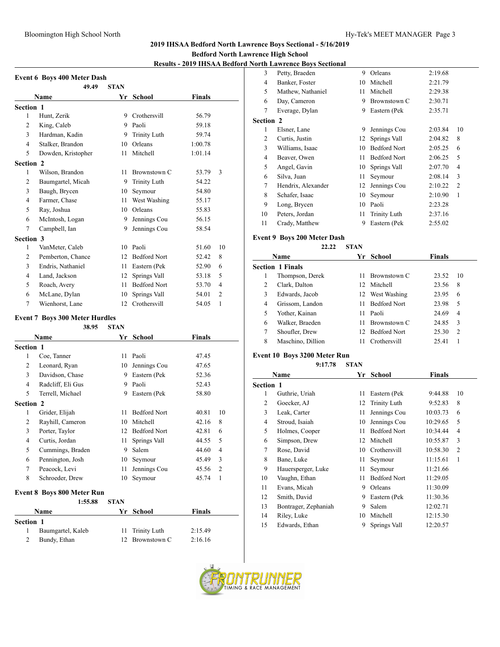#### Bloomington High School North **Hy-Tek's MEET MANAGER** Page 3

#### **2019 IHSAA Bedford North Lawrence Boys Sectional - 5/16/2019**

## **Bedford North Lawrence High School**

# **Results - 2019 IHSAA Bedford North Lawrence Boys Sectional**

|                | 49.49              | <b>STAN</b> |                     |               |                |
|----------------|--------------------|-------------|---------------------|---------------|----------------|
|                | Name               | Yr          | School              | <b>Finals</b> |                |
| Section 1      |                    |             |                     |               |                |
| 1              | Hunt, Zerik        | 9           | Crothersvill        | 56.79         |                |
| 2              | King, Caleb        | 9           | Paoli               | 59.18         |                |
| 3              | Hardman, Kadin     | 9           | <b>Trinity Luth</b> | 59.74         |                |
| $\overline{4}$ | Stalker, Brandon   | 10          | Orleans             | 1:00.78       |                |
| 5              | Dowden, Kristopher | 11          | Mitchell            | 1:01.14       |                |
| Section 2      |                    |             |                     |               |                |
| 1              | Wilson, Brandon    | 11          | Brownstown C        | 53.79         | 3              |
| $\overline{2}$ | Baumgartel, Micah  | 9           | <b>Trinity Luth</b> | 54.22         |                |
| 3              | Baugh, Brycen      | 10          | Seymour             | 54.80         |                |
| $\overline{4}$ | Farmer, Chase      | 11          | West Washing        | 55.17         |                |
| 5              | Ray, Joshua        | 10          | Orleans             | 55.83         |                |
| 6              | McIntosh, Logan    | 9           | Jennings Cou        | 56.15         |                |
| 7              | Campbell, Ian      | 9           | Jennings Cou        | 58.54         |                |
| Section 3      |                    |             |                     |               |                |
| 1              | VanMeter, Caleb    | 10          | Paoli               | 51.60         | 10             |
| 2              | Pemberton, Chance  | 12          | <b>Bedford Nort</b> | 52.42         | 8              |
| 3              | Endris, Nathaniel  | 11          | Eastern (Pek        | 52.90         | 6              |
| $\overline{4}$ | Land, Jackson      | 12          | Springs Vall        | 53.18         | 5              |
| 5              | Roach, Avery       | 11          | <b>Bedford Nort</b> | 53.70         | 4              |
| 6              | McLane, Dylan      | 10          | Springs Vall        | 54.01         | $\overline{c}$ |
| 7              | Wienhorst, Lane    | 12          | Crothersvill        | 54.05         | 1              |

#### **Event 7 Boys 300 Meter Hurdles**

| 38.95 | <b>STAN</b> |
|-------|-------------|
|       |             |

|                  | <b>Name</b>       |    | Yr School           | <b>Finals</b> |                |
|------------------|-------------------|----|---------------------|---------------|----------------|
| Section 1        |                   |    |                     |               |                |
| 1                | Coe, Tanner       | 11 | Paoli               | 47.45         |                |
| 2                | Leonard, Ryan     | 10 | Jennings Cou        | 47.65         |                |
| 3                | Davidson, Chase   | 9  | Eastern (Pek        | 52.36         |                |
| 4                | Radcliff, Eli Gus | 9  | Paoli               | 52.43         |                |
| 5                | Terrell, Michael  | 9  | Eastern (Pek        | 58.80         |                |
| <b>Section 2</b> |                   |    |                     |               |                |
| 1                | Grider, Elijah    | 11 | <b>Bedford Nort</b> | 40.81         | 10             |
| 2                | Rayhill, Cameron  | 10 | Mitchell            | 42.16         | 8              |
| 3                | Porter, Taylor    | 12 | <b>Bedford Nort</b> | 42.81         | 6              |
| 4                | Curtis, Jordan    | 11 | Springs Vall        | 44.55         | 5              |
| 5                | Cummings, Braden  | 9  | Salem               | 44.60         | $\overline{4}$ |
| 6                | Pennington, Josh  | 10 | Seymour             | 45.49         | 3              |
| 7                | Peacock, Levi     | 11 | Jennings Cou        | 45.56         | $\overline{2}$ |
| 8                | Schroeder, Drew   | 10 | Seymour             | 45.74         | 1              |
|                  |                   |    |                     |               |                |

#### **Event 8 Boys 800 Meter Run**

|           | 1:55.88           | <b>STAN</b> |                 |         |  |
|-----------|-------------------|-------------|-----------------|---------|--|
|           | Name              |             | Yr School       | Finals  |  |
| Section 1 |                   |             |                 |         |  |
|           | Baumgartel, Kaleb |             | 11 Trinity Luth | 2:15.49 |  |
|           | Bundy, Ethan      |             | 12 Brownstown C | 2:16.16 |  |

|                  | North Lawrence Boys Sectional |    |                     |         |                |
|------------------|-------------------------------|----|---------------------|---------|----------------|
| 3                | Petty, Braeden                | 9  | Orleans             | 2:19.68 |                |
| 4                | Banker, Foster                | 10 | Mitchell            | 2:21.79 |                |
| 5                | Mathew, Nathaniel             | 11 | Mitchell            | 2:29.38 |                |
| 6                | Day, Cameron                  | 9  | Brownstown C        | 2:30.71 |                |
| 7                | Everage, Dylan                | 9  | Eastern (Pek        | 2:35.71 |                |
| <b>Section 2</b> |                               |    |                     |         |                |
| 1                | Elsner, Lane                  | 9  | Jennings Cou        | 2:03.84 | 10             |
| 2                | Curtis, Justin                | 12 | Springs Vall        | 2:04.82 | 8              |
| 3                | Williams, Isaac               | 10 | <b>Bedford Nort</b> | 2:05.25 | 6              |
| 4                | Beaver, Owen                  | 11 | <b>Bedford Nort</b> | 2:06.25 | 5              |
| 5                | Angel, Gavin                  | 10 | Springs Vall        | 2:07.70 | 4              |
| 6                | Silva, Juan                   | 11 | Seymour             | 2:08.14 | 3              |
| 7                | Hendrix, Alexander            | 12 | Jennings Cou        | 2:10.22 | $\overline{2}$ |
| 8                | Schafer, Isaac                | 10 | Seymour             | 2:10.90 | 1              |
| 9                | Long, Brycen                  | 10 | Paoli               | 2:23.28 |                |
| 10               | Peters, Jordan                | 11 | Trinity Luth        | 2:37.16 |                |
| 11               | Crady, Matthew                | 9  | Eastern (Pek        | 2:55.02 |                |
|                  |                               |    |                     |         |                |

## **Event 9 Boys 200 Meter Dash**

## **22.22 STAN**

|   | Name                    | Yr  | <b>School</b>       | Finals |                |
|---|-------------------------|-----|---------------------|--------|----------------|
|   | <b>Section 1 Finals</b> |     |                     |        |                |
|   | Thompson, Derek         | 11  | <b>Brownstown C</b> | 23.52  | 10             |
| 2 | Clark, Dalton           | 12. | Mitchell            | 23.56  | 8              |
| 3 | Edwards, Jacob          |     | 12 West Washing     | 23.95  | 6              |
| 4 | Grissom, Landon         | 11. | <b>Bedford Nort</b> | 23.98  | 5              |
| 5 | Yother, Kainan          | 11. | Paoli               | 24.69  | 4              |
| 6 | Walker, Braeden         | 11. | Brownstown C        | 24.85  | 3              |
| 7 | Shoufler, Drew          |     | 12 Bedford Nort     | 25.30  | $\overline{2}$ |
| 8 | Maschino, Dillion       | 11  | Crothersvill        | 25.41  |                |

# **Event 10 Boys 3200 Meter Run**

#### **9:17.78 STAN**

| Name             |                      | Yr | School              | <b>Finals</b> |    |
|------------------|----------------------|----|---------------------|---------------|----|
| <b>Section 1</b> |                      |    |                     |               |    |
| 1                | Guthrie, Uriah       | 11 | Eastern (Pek        | 9:44.88       | 10 |
| 2                | Goecker, AJ          | 12 | Trinity Luth        | 9:52.83       | 8  |
| 3                | Leak, Carter         | 11 | Jennings Cou        | 10:03.73      | 6  |
| 4                | Stroud, Isaiah       | 10 | Jennings Cou        | 10:29.65      | 5  |
| 5                | Holmes, Cooper       | 11 | <b>Bedford Nort</b> | 10:34.44      | 4  |
| 6                | Simpson, Drew        | 12 | Mitchell            | 10:55.87      | 3  |
| 7                | Rose, David          | 10 | Crothersvill        | 10:58.30      | 2  |
| 8                | Bane, Luke           | 11 | Seymour             | 11:15.61      | 1  |
| 9                | Hauersperger, Luke   | 11 | Seymour             | 11:21.66      |    |
| 10               | Vaughn, Ethan        | 11 | <b>Bedford Nort</b> | 11:29.05      |    |
| 11               | Evans, Micah         | 9  | Orleans             | 11:30.09      |    |
| 12               | Smith, David         | 9  | Eastern (Pek        | 11:30.36      |    |
| 13               | Bontrager, Zephaniah | 9  | Salem               | 12:02.71      |    |
| 14               | Riley, Luke          | 10 | Mitchell            | 12:15.30      |    |
| 15               | Edwards, Ethan       | 9  | Springs Vall        | 12:20.57      |    |

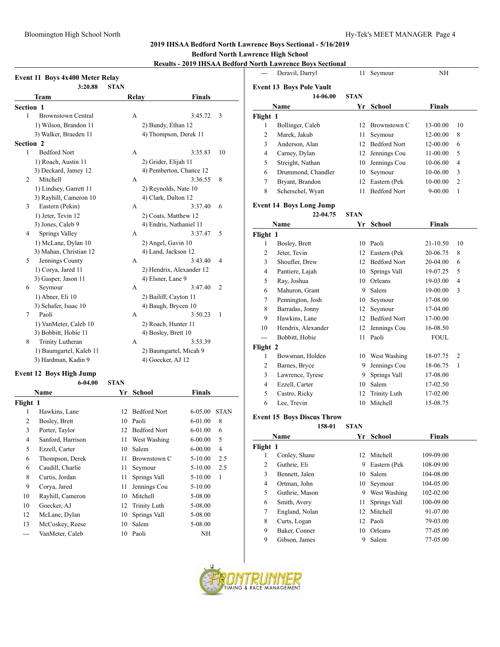#### **2019 IHSAA Bedford North Lawrence Boys Sectional - 5/16/2019**

#### **Bedford North Lawrence High School**

# **Results - 2019 IHSAA Bedford North Lawrence Boys Sectional**

| Event 11 Boys 4x400 Meter Relay |                                        |             |                          |                         |             |  |
|---------------------------------|----------------------------------------|-------------|--------------------------|-------------------------|-------------|--|
|                                 | 3:20.88                                | <b>STAN</b> |                          |                         |             |  |
|                                 | Team                                   |             | Relay                    | <b>Finals</b>           |             |  |
| <b>Section 1</b>                |                                        |             |                          |                         |             |  |
| 1                               | <b>Brownstown Central</b>              |             | A                        | 3:45.72                 | 3           |  |
|                                 | 1) Wilson, Brandon 11                  |             | 2) Bundy, Ethan 12       |                         |             |  |
|                                 | 3) Walker, Braeden 11                  |             | 4) Thompson, Derek 11    |                         |             |  |
| <b>Section 2</b>                |                                        |             |                          |                         |             |  |
| 1                               | <b>Bedford Nort</b>                    |             | А                        | 3:35.83                 | 10          |  |
|                                 | 1) Roach, Austin 11                    |             | 2) Grider, Elijah 11     |                         |             |  |
|                                 | 3) Deckard, Jamey 12                   |             |                          | 4) Pemberton, Chance 12 |             |  |
| 2                               | Mitchell                               |             | А                        | 3:36.55                 | 8           |  |
|                                 | 1) Lindsey, Garrett 11                 |             | 2) Reynolds, Nate 10     |                         |             |  |
|                                 | 3) Rayhill, Cameron 10                 |             | 4) Clark, Dalton 12      |                         |             |  |
| 3                               | Eastern (Pekin)                        |             | А                        | 3:37.40                 | 6           |  |
|                                 | 1) Jeter, Tevin 12                     |             | 2) Coats, Matthew 12     |                         |             |  |
|                                 | 3) Jones, Caleb 9                      |             | 4) Endris, Nathaniel 11  |                         |             |  |
| 4                               | Springs Valley                         |             | A                        | 3:37.47                 | 5           |  |
|                                 | 1) McLane, Dylan 10                    |             | 2) Angel, Gavin 10       |                         |             |  |
|                                 | 3) Mahan, Christian 12                 |             | 4) Land, Jackson 12      |                         |             |  |
| 5                               | Jennings County                        |             | A                        | 3:43.40                 | 4           |  |
|                                 | 1) Corya, Jared 11                     |             | 2) Hendrix, Alexander 12 |                         |             |  |
|                                 | 3) Gasper, Jason 11                    |             | 4) Elsner, Lane 9        |                         |             |  |
| 6                               | Seymour                                |             | А                        | 3:47.40                 | 2           |  |
|                                 | 1) Abner, Eli 10                       |             | 2) Bailiff, Cayton 11    |                         |             |  |
|                                 | 3) Schafer, Isaac 10                   |             | 4) Baugh, Brycen 10      |                         |             |  |
| 7                               | Paoli                                  |             | А                        | 3:50.23                 | 1           |  |
|                                 | 1) VanMeter, Caleb 10                  |             | 2) Roach, Hunter 11      |                         |             |  |
|                                 | 3) Bobbitt, Hobie 11                   |             | 4) Bosley, Brett 10      |                         |             |  |
| 8                               | Trinity Lutheran                       |             | A                        | 3:53.39                 |             |  |
|                                 | 1) Baumgartel, Kaleb 11                |             | 2) Baumgartel, Micah 9   |                         |             |  |
|                                 | 3) Hardman, Kadin 9                    |             | 4) Goecker, AJ 12        |                         |             |  |
|                                 |                                        |             |                          |                         |             |  |
|                                 | Event 12 Boys High Jump<br>$6 - 04.00$ | <b>STAN</b> |                          |                         |             |  |
|                                 |                                        |             |                          |                         |             |  |
|                                 | Name                                   | Yr          | School                   | <b>Finals</b>           |             |  |
| Flight 1                        |                                        |             |                          |                         |             |  |
| 1                               | Hawkins, Lane                          | 12          | <b>Bedford Nort</b>      | $6 - 05.00$             | <b>STAN</b> |  |
| $\overline{2}$                  | Bosley, Brett                          |             | 10 Paoli                 | 6-01.00                 | 8           |  |
| 3                               | Porter, Taylor                         |             | 12 Bedford Nort          | 6-01.00                 | 6           |  |
| 4                               | Sanford, Harrison                      | 11          | West Washing             | $6 - 00.00$             | 5           |  |
| 5                               | Ezzell, Carter                         | 10          | Salem                    | $6 - 00.00$             | 4           |  |
| 6                               | Thompson, Derek                        | 11          | Brownstown C             | $5 - 10.00$             | 2.5         |  |
| 6                               | Caudill, Charlie                       | 11          | Seymour                  | $5 - 10.00$             | 2.5         |  |
| 8                               | Curtis, Jordan                         | 11          | Springs Vall             | $5 - 10.00$             | 1           |  |
| 9                               | Corya, Jared                           | 11          | Jennings Cou             | 5-10.00                 |             |  |

10 Rayhill, Cameron 10 Mitchell 5-08.00 10 Goecker, AJ 12 Trinity Luth 5-08.00 12 McLane, Dylan 10 Springs Vall 5-08.00 13 McCoskey, Reese 10 Salem 5-08.00 --- VanMeter, Caleb 10 Paoli NH

| $\overline{a}$ | <u> NOFUL LAWFENCE BOYS SECUONAL</u><br>Deravil, Darryl | 11          | Seymour             | NH            |    |
|----------------|---------------------------------------------------------|-------------|---------------------|---------------|----|
|                |                                                         |             |                     |               |    |
|                | <b>Event 13 Boys Pole Vault</b><br>14-06.00             | <b>STAN</b> |                     |               |    |
|                | Name                                                    | Yr          | School              | <b>Finals</b> |    |
| Flight 1       |                                                         |             |                     |               |    |
| 1              | Bollinger, Caleb                                        |             | 12 Brownstown C     | 13-00.00      | 10 |
| 2              | Marek, Jakub                                            | 11          | Seymour             | 12-00.00      | 8  |
| 3              | Anderson, Alan                                          |             | 12 Bedford Nort     | 12-00.00      | 6  |
| 4              | Carney, Dylan                                           |             | 12 Jennings Cou     | 11-00.00      | 5  |
| 5              | Streight, Nathan                                        | 10          | Jennings Cou        | 10-06.00      | 4  |
| 6              | Drummond, Chandler                                      | 10          | Seymour             | 10-06.00      | 3  |
| 7              | Bryant, Brandon                                         | 12          | Eastern (Pek        | 10-00.00      | 2  |
| 8              | Scherschel, Wyatt                                       | 11          | <b>Bedford Nort</b> | 9-00.00       | 1  |
|                |                                                         |             |                     |               |    |
|                | <b>Event 14 Boys Long Jump</b>                          |             |                     |               |    |
|                | 22-04.75                                                | <b>STAN</b> |                     |               |    |
|                | Name                                                    | Yr          | <b>School</b>       | <b>Finals</b> |    |
| Flight 1       |                                                         |             |                     |               |    |
| 1              | Bosley, Brett                                           |             | 10 Paoli            | 21-10.50      | 10 |
| 2              | Jeter, Tevin                                            |             | 12 Eastern (Pek     | 20-06.75      | 8  |
| 3              | Shoufler, Drew                                          |             | 12 Bedford Nort     | 20-04.00      | 6  |
| 4              | Pantiere, Lajah                                         | 10          | Springs Vall        | 19-07.25      | 5  |
| 5              | Ray, Joshua                                             |             | 10 Orleans          | 19-03.00      | 4  |
| 6              | Mahuron, Grant                                          | 9           | Salem               | 19-00.00      | 3  |
| 7              | Pennington, Josh                                        | 10          | Seymour             | 17-08.00      |    |
| 8              | Barradas, Jonny                                         | 12          | Seymour             | 17-04.00      |    |
| 9              | Hawkins, Lane                                           |             | 12 Bedford Nort     | 17-00.00      |    |
| 10             | Hendrix, Alexander                                      | 12          | Jennings Cou        | 16-08.50      |    |
| ---            | Bobbitt, Hobie                                          | 11          | Paoli               | <b>FOUL</b>   |    |
| Flight 2       |                                                         |             |                     |               |    |
| 1              | Bowsman, Holden                                         |             | 10 West Washing     | 18-07.75      | 2  |
| 2              | Barnes, Bryce                                           | 9           | Jennings Cou        | 18-06.75      | 1  |
| 3              | Lawrence, Tyrese                                        | 9           | Springs Vall        | 17-08.00      |    |
| 4              | Ezzell, Carter                                          | 10          | Salem               | 17-02.50      |    |
| 5              | Castro, Ricky                                           | 12          | <b>Trinity Luth</b> | 17-02.00      |    |
| 6              | Lee, Trevin                                             | 10          | <b>Mitchell</b>     | 15-08.75      |    |
|                |                                                         |             |                     |               |    |
|                | <b>Event 15 Boys Discus Throw</b><br>158-01             | <b>STAN</b> |                     |               |    |
|                | Name                                                    | Yr          | School              | Finals        |    |
|                |                                                         |             |                     |               |    |
| Flight 1<br>1  | Conley, Shane                                           |             | 12 Mitchell         | 109-09.00     |    |
| 2              | Guthrie, Eli                                            | 9           | Eastern (Pek        | 108-09.00     |    |
| 3              | Bennett, Jalen                                          | 10          | Salem               | 104-08.00     |    |
| 4              | Ortman, John                                            | 10          | Seymour             | 104-05.00     |    |
| 5              | Guthrie, Mason                                          | 9           | West Washing        | 102-02.00     |    |
|                |                                                         | 11          | Springs Vall        |               |    |
| 6              | Smith, Avery                                            | 12          |                     | 100-09.00     |    |
| 7              | England, Nolan                                          |             | Mitchell<br>Paoli   | 91-07.00      |    |
| 8              | Curts, Logan<br>Baker, Conner                           | 12<br>10    |                     | 79-03.00      |    |
|                |                                                         |             | Orleans             | 77-05.00      |    |
| 9<br>9         | Gibson, James                                           | 9           | Salem               | 77-05.00      |    |